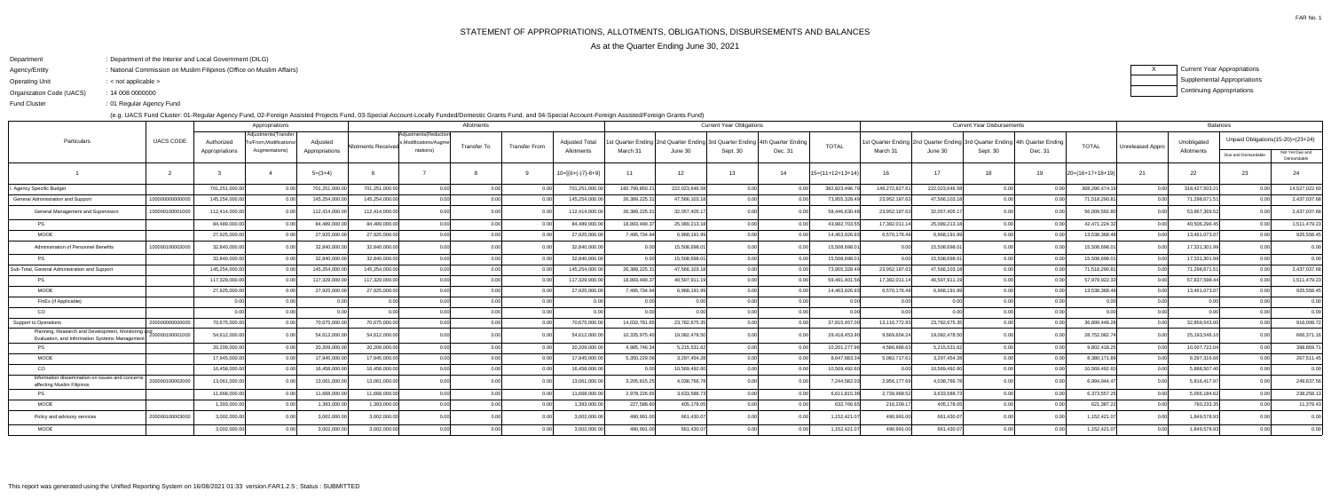FAR No. 1

As at the Quarter Ending June 30, 2021

- Department: Department of the Interior and Local Government (DILG)
- Agency/Entity: National Commission on Muslim Filipinos (Office on Muslim Affairs)
- Operating Unit< not applicable >:
- Organization Code (UACS)14 008 0000000:
- ending the U.S. of Regular Agency Fund Fund Cluster

(e.g. UACS Fund Cluster: 01-Regular Agency Fund, 02-Foreign Assisted Projects Fund, 03-Special Account-Locally Funded/Domestic Grants Fund, and 04-Special Account-Foreign Assisted/Foreign Grants Fund)

XCurrent Year Appropriations Supplemental AppropriationsContinuing Appropriations

|                                                                                                      |                  |                | Appropriations                                |                |                            | Allotments                                     |                    |                      |                       |                | <b>Current Year Obligations</b> |                                                                            |         |                    |               |                | <b>Current Year Disbursements</b>                                          | <b>Balances</b> |                     |                  |                |                                   |                               |
|------------------------------------------------------------------------------------------------------|------------------|----------------|-----------------------------------------------|----------------|----------------------------|------------------------------------------------|--------------------|----------------------|-----------------------|----------------|---------------------------------|----------------------------------------------------------------------------|---------|--------------------|---------------|----------------|----------------------------------------------------------------------------|-----------------|---------------------|------------------|----------------|-----------------------------------|-------------------------------|
| Particulars                                                                                          | <b>UACS CODE</b> | Authorized     | Adjustments(Transfer<br>o/From,Modifications/ | Adjusted       | <b>Allotments Received</b> | Adjustments(Reduction<br>s,Modifications/Augme | <b>Transfer To</b> | <b>Transfer From</b> | <b>Adjusted Total</b> |                |                                 | st Quarter Ending 2nd Quarter Ending 3rd Quarter Ending 4th Quarter Ending |         | <b>TOTAL</b>       |               |                | st Quarter Ending 2nd Quarter Ending 3rd Quarter Ending 4th Quarter Ending |                 | <b>TOTAL</b>        | Unreleased Appro | Unobligated    | Unpaid Obligations(15-20)=(23+24) |                               |
|                                                                                                      |                  | Appropriations | Augmentations)                                | Appropriations |                            | ntations)                                      |                    |                      | Allotments            | March 31       | June 30                         | Sept. 30                                                                   | Dec. 31 |                    | March 31      | June 30        | Sept. 30                                                                   | Dec. 31         |                     |                  | Allotments     | Due and Demandable                | Not Yet Due and<br>Demandable |
|                                                                                                      |                  |                |                                               | $5=(3+4)$      |                            |                                                |                    |                      | $10=[6+(-)7]-8+9]$    | 11             | 12                              | 13                                                                         | 14      | $15=(11+12+13+14)$ | 16            | 17             | 18                                                                         | 19              | $20= (16+17+18+19)$ | 21               | 22             | 23                                | 24                            |
| Agency Specific Budget                                                                               |                  | 701,251,000.00 |                                               | 701,251,000.00 | 701,251,000.0              | 0.00                                           | . O O              |                      | 701,251,000.00        | 160,799,850.21 | 222,023,646.58                  | 0.00                                                                       |         | 382,823,496.7      | 146,272,827.6 | 222,023,646.58 | 0.00                                                                       |                 | 368,296,474.1       | 0.00             | 318,427,503.21 | 0.00                              | 14,527,022.60                 |
| General Administration and Support                                                                   | 1000000000000    | 145,254,000.00 |                                               | 145,254,000.00 | 145,254,000.0              | 0.00                                           |                    |                      | 145,254,000.00        | 26,389,225.31  | 47,566,103.18                   | 0.00                                                                       |         | 73,955,328.49      | 23,952,187.6  | 47,566,103.1   | 0.00                                                                       |                 | 71,518,290.8        |                  | 71,298,671.5   | 0.00                              | 2,437,037.68                  |
| General Management and Supervision                                                                   | 10000010000100   | 112,414,000.00 |                                               | 112,414,000.0  | 112.414.000.0              | 0.00                                           | 0 <sup>0</sup>     |                      | 112,414,000.00        | 26,389,225.31  | 32,057,405.17                   | 0.00                                                                       |         | 58.446.630.4       | 23,952,187.6  | 32,057,405.1   | 0.00                                                                       |                 | 56,009,592.80       | 0.00             | 53,967,369.5   | 0.00 <sub>l</sub>                 | 2,437,037.68                  |
| <b>PS</b>                                                                                            |                  | 84,489,000.00  |                                               | 84,489,000.00  | 84,489,000.0               | 0.00                                           | 0.00               | 0 <sup>0</sup>       | 84,489,000.00         | 18,893,490.37  | 25,089,213.18                   | 0.00                                                                       |         | 43,982,703.5       | 17,382,011.1  | 25,089,213.18  | 0.00                                                                       |                 | 42,471,224.32       | 0.00             | 40,506,296.45  | 0.00                              | 1,511,479.23                  |
| <b>MOOE</b>                                                                                          |                  | 27,925,000.00  |                                               | 27,925,000.00  | 27,925,000.0               | 0.00                                           | 0.00               |                      | 27,925,000.00         | 7,495,734.94   | 6,968,191.99                    | 0.00                                                                       |         | 14,463,926.9       | 6,570,176.49  | 6,968,191.99   | 0.00                                                                       |                 | 13,538,368.48       | 0.00             | 13,461,073.0   | 0.00l                             | 925,558.45                    |
| Administration of Personnel Benefits                                                                 | 10000010000200   | 32,840,000.00  |                                               | 32,840,000.0   | 32,840,000.0               | 0.00                                           |                    |                      | 32,840,000.00         | ი იი           | 15,508,698.0                    |                                                                            |         | 15,508,698.0       |               | 15,508,698.0   |                                                                            |                 | 15,508,698.0        |                  | 17,331,301.99  |                                   | 0.00                          |
|                                                                                                      |                  | 32,840,000.00  |                                               | 32,840,000.00  | 32.840.000.0               | 0.00                                           | 0.00               | 0 <sub>0</sub>       | 32,840,000.00         | 0.00           | 15.508.698.01                   | 0.00                                                                       |         | 15.508.698.0       |               | 15.508.698.0   | 0.00                                                                       |                 | 15.508.698.0        | . റ റ            | 17,331,301.99  | 0.00 <sub>l</sub>                 | 0.00                          |
| Sub-Total, General Administration and Support                                                        |                  | 145,254,000.00 |                                               | 145,254,000.0  | 145.254.000.0              | 0.00                                           |                    |                      | 145,254,000.00        | 26,389,225.31  | 47,566,103.18                   | 0.00                                                                       |         | 73,955,328.4       | 23,952,187.6  | 47.566.103.    | 0.00                                                                       |                 | 71,518,290.8        |                  | 71,298,671.5   | 0.00 <sub>l</sub>                 | 2,437,037.68                  |
| <b>PS</b>                                                                                            |                  | 117,329,000.00 |                                               | 117,329,000.0  | 117,329,000.0              | 0.00                                           | 0.OC               |                      | 117,329,000.00        | 18,893,490.37  | 40,597,911.1                    | 0.00                                                                       |         | 59,491,401.5       | 17,382,011.1  | 40,597,911.    | 0.00                                                                       |                 | 57,979,922.3        |                  | 57,837,598.44  | 0.00                              | 1,511,479.23                  |
| <b>MOOE</b>                                                                                          |                  | 27,925,000.00  |                                               | 27,925,000.00  | 27,925,000.0               | 0.00                                           |                    |                      | 27,925,000.00         | 7,495,734.94   | 6,968,191.99                    | 0.00                                                                       |         | 14,463,926.93      | 6,570,176.49  | 6,968,191.9    | 0.00                                                                       |                 | 13,538,368.48       |                  | 13,461,073.0   |                                   | 925,558.45                    |
| FinEx (if Applicable)                                                                                |                  |                |                                               |                |                            | 0.00                                           |                    |                      |                       | 0.00           | 0.00                            | 0.00                                                                       |         |                    |               |                | 0.00                                                                       |                 |                     |                  |                |                                   | 0.00                          |
| CO                                                                                                   |                  |                |                                               |                |                            | 0.00                                           |                    |                      |                       |                |                                 |                                                                            |         |                    |               |                | n nr                                                                       |                 |                     |                  |                |                                   | 0.00                          |
| Support to Operations                                                                                | 20000000000      | 70,675,000.00  |                                               | 70,675,000.0   | 70,675,000.0               | 0.00                                           | 0 <sup>0</sup>     | 0.00                 | 70,675,000.00         | 14,032,781.65  | 23,782,675.35                   | 0.00                                                                       |         | 37,815,457.0       | 13,116,772.93 | 23,782,675.35  | 0.00                                                                       |                 | 36,899,448.28       | 0.00             | 32,859,543.0   | 0.00                              | 916,008.72                    |
| Planning, Research and Development, Monitoring and<br>Evaluation, and Information Systems Management | 200000100001000  | 54,612,000.00  |                                               | 54,612,000.00  | 54,612,000.0               | 0.00                                           | 0.00               |                      | 54,612,000.00         | 10,335,975.40  | 19,082,478.50                   | 0.00                                                                       |         | 29,418,453.90      | 9,669,604.24  | 19,082,478.50  | 0.00                                                                       |                 | 28,752,082.74       | 0.00             | 25,193,546.1   | 0.00 <sub>l</sub>                 | 666,371.16                    |
| <b>PS</b>                                                                                            |                  | 20,209,000.00  |                                               | 20,209,000.0   | 20,209,000.0               | 0.00                                           |                    |                      | 20,209,000.00         | 4,985,746.34   | 5,215,531.62                    | 0.00                                                                       |         | 10,201,277.9       | 4,586,886.63  | 5,215,531.62   | 0.00                                                                       |                 | 9,802,418.25        |                  | 10,007,722.04  | 0.00                              | 398,859.71                    |
| <b>MOOE</b>                                                                                          |                  | 17,945,000.00  |                                               | 17,945,000.0   | 17,945,000.0               | 0.00                                           |                    |                      | 17,945,000.00         | 5,350,229.06   | 3,297,454.28                    | 0.00                                                                       |         | 8,647,683.3        | 5,082,717.6   | 3,297,454.28   | 0.00                                                                       |                 | 8,380,171.8         |                  | 9,297,316.66   | 0.00 <sub>l</sub>                 | 267,511.45                    |
| CO                                                                                                   |                  | 16,458,000.00  |                                               | 16,458,000.00  | 16,458,000.0               | 0.00                                           | 0.OC               |                      | 16,458,000.00         | 0.00           | 10,569,492.60                   | 0.00                                                                       |         | 10,569,492.60      |               | 10,569,492.60  | 0.00                                                                       |                 | 10,569,492.60       | 0.00             | 5,888,507.40   | 0.00 <sub>l</sub>                 | 0.00                          |
| Information dissemination on issues and concerns<br>affecting Muslim Filipinos                       | 20000010000200   | 13,061,000.00  |                                               | 13,061,000.0   | 13,061,000.0               | 0.00                                           |                    |                      | 13,061,000.00         | 3,205,815.25   | 4,038,766.78                    | 0.00                                                                       |         | 7,244,582.0        | 2,956,177.6   | 4,038,766.7    |                                                                            |                 | 6,994,944.47        | 0.00             | 5,816,417.9    | 0.00                              | 249,637.56                    |
|                                                                                                      |                  | 11,668,000.00  |                                               | 11,668,000.00  | 11,668,000.0               | 0.00                                           | 0.00               | 0 <sub>0</sub>       | 11,668,000.00         | 2,978,226.65   | 3,633,588.73                    | 0.00                                                                       |         | 6,611,815.3        | 2,739,968.52  | 3,633,588.73   | 0.00                                                                       |                 | 6,373,557.2         | 0.00             | 5,056,184.62   | 0.00                              | 238,258.13                    |
| <b>MOOE</b>                                                                                          |                  | 1,393,000.00   |                                               | 1,393,000.0    | 1,393,000.0                | 0.00                                           | 0 <sup>0</sup>     |                      | 1,393,000.00          | 227,588.60     | 405,178.05                      | 0.00                                                                       |         | 632,766.6          | 216,209.1     | 405,178.05     | 0.00                                                                       |                 | 621,387.22          |                  | 760,233.35     | 0.00                              | 11,379.43                     |
| Policy and advisory services                                                                         | 20000010000300   | 3,002,000.00   |                                               | 3,002,000.00   | 3,002,000.0                | 0.00                                           |                    |                      | 3,002,000.00          | 490,991.00     | 661,430.07                      |                                                                            |         | 1,152,421.0        | 490,991.00    | 661,430.0      |                                                                            |                 | 1,152,421.07        | . റ റ            | 1,849,578.9    |                                   | 0.00                          |
| MOOE                                                                                                 |                  | 3,002,000.00   |                                               | 3,002,000.00   | 3,002,000.00               | 0.00 <sup>1</sup>                              | 0.00               | 0.00                 | 3,002,000.00          | 490,991.00     | 661.430.07                      | 0.001                                                                      |         | 1,152,421.07       | 490,991.00    | 661,430.07     | n nnl                                                                      |                 | 1,152,421.07        | 0.00             | 1,849,578.93   | 0.00                              | 0.00                          |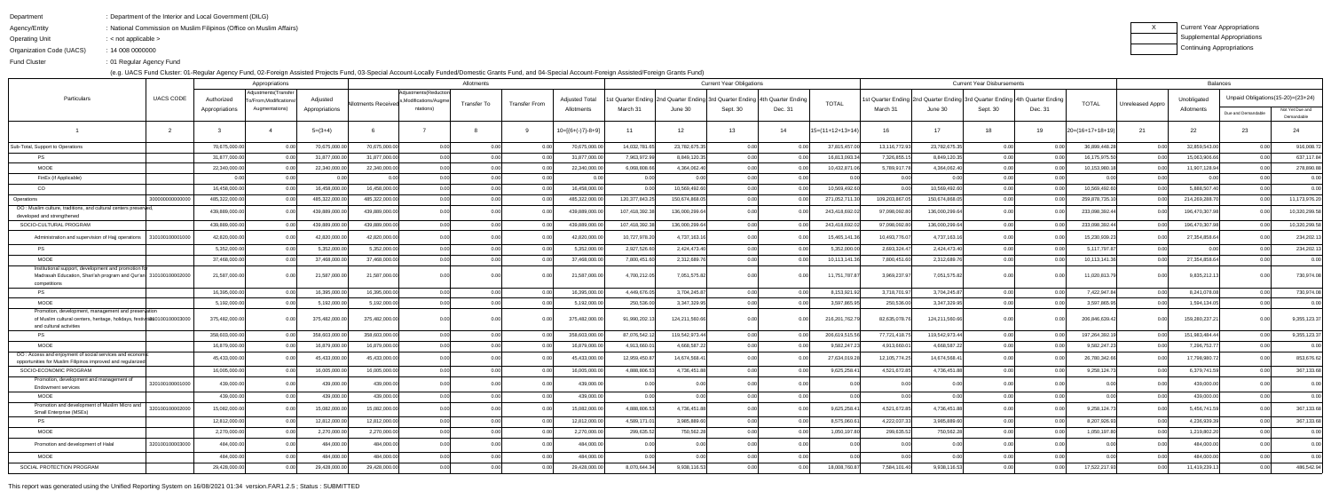Agency/Entity: National Commission on Muslim Filipinos (Office on Muslim Affairs)

Operating Unit : < not applicable >

| x | Current Year Appropriations |
|---|-----------------------------|
|   | Supplemental Appropriations |
|   | Continuing Appropriations   |

| Department | : Department of the Interior and Local Government (DILG) |
|------------|----------------------------------------------------------|
|            |                                                          |

Organization Code (UACS)14 008 0000000:

Fund Cluster01 Regular Agency Fund:

(e.g. UACS Fund Cluster: 01-Regular Agency Fund, 02-Foreign Assisted Projects Fund, 03-Special Account-Locally Funded/Domestic Grants Fund, and 04-Special Account-Foreign Assisted/Foreign Grants Fund)

|                                                                                                                                                             |                 |                | Appropriations                                  |                | Allotments          |                                                |             |                      | <b>Current Year Obligations</b> |                |                |          |                                                                            | <b>Current Year Disbursements</b> |               |                |                                                                                 |                |                    | <b>Balances</b>  |                |                                   |                               |  |
|-------------------------------------------------------------------------------------------------------------------------------------------------------------|-----------------|----------------|-------------------------------------------------|----------------|---------------------|------------------------------------------------|-------------|----------------------|---------------------------------|----------------|----------------|----------|----------------------------------------------------------------------------|-----------------------------------|---------------|----------------|---------------------------------------------------------------------------------|----------------|--------------------|------------------|----------------|-----------------------------------|-------------------------------|--|
| Particulars                                                                                                                                                 | UACS CODE       | Authorized     | Adjustments(Transfer  <br>o/From, Modifications | Adjusted       |                     | Adjustments (Reduction<br>Modifications/Augme, |             | <b>Transfer From</b> | <b>Adjusted Total</b>           |                |                |          | st Quarter Ending 2nd Quarter Ending 3rd Quarter Ending 4th Quarter Ending |                                   |               |                | 1st Quarter Ending  2nd Quarter Ending  3rd Quarter Ending   4th Quarter Ending |                |                    |                  | Unobligated    | Unpaid Obligations(15-20)=(23+24) |                               |  |
|                                                                                                                                                             |                 | Appropriations | Augmentations)                                  | Appropriations | Allotments Received | ntations)                                      | Transfer To |                      | Allotments                      | March 31       | June 30        | Sept. 30 | Dec. 31                                                                    | <b>TOTAL</b>                      | March 31      | June 30        | Sept. 30                                                                        | Dec. 31        | TOTAL              | Unreleased Appro | Allotments     | Due and Demandable                | Not Yet Due and<br>Demandable |  |
|                                                                                                                                                             |                 |                |                                                 | $5=(3+4)$      |                     |                                                |             |                      | $10=[{6+(-)}7{-8+9}]$           | 11             | 12             | 13       | 14                                                                         | $15=(11+12+13+14)$                | 16            | 17             | 18                                                                              | 19             | $20=(16+17+18+19)$ | 21               | 22             | 23                                | 24                            |  |
| Sub-Total, Support to Operations                                                                                                                            |                 | 70,675,000.00  |                                                 | 70,675,000.00  | 70,675,000.0        | 0.00                                           |             |                      | 70,675,000.00                   | 14,032,781.65  | 23,782,675.35  | 0.00     |                                                                            | 37,815,457.00                     | 13,116,772.93 | 23,782,675.35  |                                                                                 |                | 36,899,448.28      | 0.00             | 32,859,543.00  | 0.00                              | 916,008.72                    |  |
| PS.                                                                                                                                                         |                 | 31,877,000.00  |                                                 | 31,877,000.00  | 31,877,000.0        | 0.00                                           |             |                      | 31,877,000.00                   | 7,963,972.99   | 8,849,120.35   | 0.00     |                                                                            | 16,813,093.3                      | 7,326,855.1   | 8,849,120.35   |                                                                                 |                | 16,175,975.50      |                  | 15,063,906.66  | 0.001                             | 637,117.84                    |  |
| MOOE                                                                                                                                                        |                 | 22,340,000.00  |                                                 | 22,340,000.00  | 22,340,000.0        | 0.00                                           | 0.00        |                      | 22,340,000.00                   | 6,068,808.66   | 4,364,062.40   | 0.00     |                                                                            | 10,432,871.0                      | 5,789,917.7   | 4,364,062.40   |                                                                                 |                | 10,153,980.1       |                  | 11,907,128.94  | 0.00                              | 278,890.88                    |  |
| FinEx (if Applicable)                                                                                                                                       |                 |                |                                                 |                |                     | 0.00                                           | 0.00        |                      |                                 | 0.00           |                | 0.00     |                                                                            |                                   |               |                | n nr                                                                            |                |                    |                  |                | 0.00                              | 0.00                          |  |
| CO                                                                                                                                                          |                 | 16,458,000.00  |                                                 | 16,458,000.00  | 16,458,000.0        | 0.00                                           | 0.00        |                      | 16,458,000.00                   | 0.001          | 10,569,492.60  | 0.00     |                                                                            | 10,569,492.60                     |               | 10,569,492.60  |                                                                                 |                | 10,569,492.6       | 0.00             | 5,888,507.40   | 0.00                              | 0.00                          |  |
| Operations                                                                                                                                                  | 3000000000000   | 485,322,000.00 |                                                 | 485,322,000.00 | 485,322,000.0       | 0.00                                           | 0.00        |                      | 485,322,000.00                  | 120,377,843.25 | 150,674,868.05 | 0.00     |                                                                            | 271,052,711.3                     | 109,203,867.0 | 150,674,868.05 | n nr                                                                            |                | 259,878,735.1      |                  | 214,269,288.7  | 0. QQ                             | 11,173,976.20                 |  |
| OO: Muslim culture, traditions, and cultural centers preserved<br>developed and strengthened                                                                |                 | 439,889,000.00 |                                                 | 439,889,000.00 | 439,889,000.0       | 0.00                                           |             |                      | 439,889,000.00                  | 107,418,392.38 | 136,000,299.64 | 0.00     |                                                                            | 243,418,692.0                     | 97,098,092.80 | 136,000,299.64 |                                                                                 |                | 233,098,392.44     |                  | 196,470,307.98 |                                   | 10,320,299.58                 |  |
| SOCIO-CULTURAL PROGRAM                                                                                                                                      |                 | 439,889,000.00 |                                                 | 439,889,000.00 | 439,889,000.0       | 0.00                                           | 0.00        |                      | 439,889,000.00                  | 107,418,392.38 | 136,000,299.64 | 0.00     |                                                                            | 243,418,692.0                     | 97,098,092.80 | 136,000,299.64 | n nr                                                                            |                | 233,098,392.4      |                  | 196,470,307.98 | 0.001                             | 10,320,299.58                 |  |
| Administration and supervision of Hajj operations                                                                                                           | 310100100001000 | 42,820,000.00  |                                                 | 42,820,000.00  | 42,820,000.0        | 0.00                                           |             |                      | 42,820,000.00                   | 10,727,978.20  | 4,737,163.16   |          |                                                                            | 15,465,141.                       | 10,493,776.0  | 4,737,163.16   |                                                                                 |                | 15,230,939.23      |                  | 27,354,858.64  |                                   | 234,202.13                    |  |
| <b>PS</b>                                                                                                                                                   |                 | 5,352,000.00   |                                                 | 5,352,000.00   | 5,352,000.0         | 0.00                                           | 0.00        |                      | 5,352,000.00                    | 2,927,526.60   | 2,424,473.40   | 0.00     |                                                                            | 5,352,000.0                       | 2,693,324.4   | 2,424,473.40   | 0.00                                                                            |                | 5,117,797.87       | 0.00             | $\cap$         | 0.00                              | 234,202.13                    |  |
| <b>MOOE</b>                                                                                                                                                 |                 | 37,468,000.00  |                                                 | 37,468,000.00  | 37,468,000.0        | 0.00                                           | 0.00        |                      | 37,468,000.00                   | 7,800,451.60   | 2,312,689.76   | 0.00     |                                                                            | 10,113,141.3                      | 7,800,451.60  | 2,312,689.76   | 0.00L                                                                           |                | 10,113,141.36      | 0.00             | 27,354,858.64  | 0.001                             | 0.00                          |  |
| Institutional support, development and promotion fo<br>Madrasah Education, Shari'ah program and Qur'an 310100100002000<br>competitions                      |                 | 21,587,000.00  |                                                 | 21,587,000.00  | 21,587,000.0        | 0.001                                          | 0.00        |                      | 21,587,000.00                   | 4,700,212.05   | 7,051,575.82   | 0.00     |                                                                            | 11,751,787.87                     | 3,969,237.97  | 7,051,575.82   | 0.00                                                                            |                | 11,020,813.79      | 0.00             | 9,835,212.13   | ი იი                              | 730,974.08                    |  |
| <b>PS</b>                                                                                                                                                   |                 | 16,395,000.00  |                                                 | 16,395,000.00  | 16,395,000.0        | 0.00                                           | 0.00        |                      | 16,395,000.00                   | 4,449,676.05   | 3,704,245.87   | 0.00     |                                                                            | 8,153,921.9                       | 3,718,701.97  | 3,704,245.87   |                                                                                 |                | 7,422,947.84       | 0.00             | 8,241,078.08   | 0.00                              | 730,974.08                    |  |
| <b>MOOE</b>                                                                                                                                                 |                 | 5,192,000.00   |                                                 | 5,192,000.00   | 5,192,000.0         | 0.00                                           |             |                      | 5,192,000.00                    | 250,536.00     | 3,347,329.95   | 0.00     |                                                                            | 3,597,865.9                       | 250,536.00    | 3,347,329.95   | n nr                                                                            |                | 3,597,865.9        |                  | 1,594,134.05   |                                   | 0.00                          |  |
| Promotion, development, management and preservation<br>of Muslim cultural centers, heritage, holidays, festivities 0100100003000<br>and cultural activities |                 | 375,482,000.00 |                                                 | 375,482,000.00 | 375,482,000.0       | 0.001                                          | 0.00        |                      | 375,482,000.00                  | 91,990,202.13  | 124,211,560.66 | 0.00     |                                                                            | 216,201,762.79                    | 82,635,078.76 | 124,211,560.66 | 0.00                                                                            |                | 206,846,639.42     | 0.00             | 159,280,237.2  | 0. QQ                             | 9,355,123.37                  |  |
|                                                                                                                                                             |                 | 358,603,000.00 |                                                 | 358,603,000.00 | 358,603,000.0       | 0.00                                           | 0.00        |                      | 358,603,000.00                  | 87,076,542.12  | 119,542,973.44 | 0.00     |                                                                            | 206,619,515.56                    | 77,721,418.7  | 119,542,973.44 | 0.00                                                                            |                | 197,264,392.1      | - 0.00           | 151,983,484.44 | 0.00                              | 9,355,123.37                  |  |
| <b>MOOE</b>                                                                                                                                                 |                 | 16,879,000.00  |                                                 | 16,879,000.00  | 16,879,000.0        | 0.00                                           |             |                      | 16,879,000.00                   | 4,913,660.01   | 4,668,587.22   | 0.00     |                                                                            | 9,582,247.2                       | 4,913,660.0   | 4,668,587.22   | 0.00                                                                            |                | 9,582,247.2        |                  | 7,296,752.77   |                                   | 0.00                          |  |
| OO: Access and enjoyment of social services and economic<br>opportunities for Muslim Filipinos improved and regularized                                     |                 | 45,433,000.00  |                                                 | 45,433,000.00  | 45,433,000.0        | 0.001                                          |             |                      | 45,433,000.00                   | 12,959,450.87  | 14,674,568.41  | 0.00     |                                                                            | 27,634,019.28                     | 12,105,774.25 | 14,674,568.41  |                                                                                 |                | 26,780,342.66      |                  | 17,798,980.72  | n or                              | 853,676.62                    |  |
| SOCIO-ECONOMIC PROGRAM                                                                                                                                      |                 | 16,005,000.00  |                                                 | 16,005,000.00  | 16,005,000.0        | 0.00                                           |             |                      | 16,005,000.00                   | 4,888,806.53   | 4,736,451.88   | 0.00     |                                                                            | 9,625,258.41                      | 4,521,672.85  | 4,736,451.88   | 0 <sup>0</sup>                                                                  |                | 9,258,124.7        |                  | 6,379,741.59   | 0.001                             | 367,133.68                    |  |
| Promotion, development and management of<br><b>Endowment services</b>                                                                                       | 320100100001000 | 439,000.00     |                                                 | 439,000.00     | 439,000.0           | 0.00                                           |             |                      | 439,000.00                      |                |                |          |                                                                            |                                   |               |                |                                                                                 |                |                    |                  | 439,000.00     |                                   | 0.00                          |  |
| MOOE                                                                                                                                                        |                 | 439,000.00     |                                                 | 439,000.00     | 439,000.00          | 0.001                                          | 0.00        |                      | 439,000.00                      | 0.00           | 0.00           | 0.00     | 0.001                                                                      | 0.00                              | 0.00          |                | 0.00                                                                            |                | 0.001              | 0.00             | 439,000.00     | 0.00                              | 0.00                          |  |
| Promotion and development of Muslim Micro and<br>Small Enterprise (MSEs)                                                                                    | 320100100002000 | 15,082,000.00  |                                                 | 15,082,000.00  | 15,082,000.00       | 0.00                                           | 0.00        | n nr                 | 15,082,000.00                   | 4,888,806.53   | 4,736,451.88   | 0.00     | 0.00                                                                       | 9,625,258.41                      | 4,521,672.85  | 4,736,451.88   | 0.00                                                                            |                | 9,258,124.73       | 0.00             | 5,456,741.59   | 0.001                             | 367,133.68                    |  |
| <b>PS</b>                                                                                                                                                   |                 | 12,812,000.00  |                                                 | 12,812,000.00  | 12,812,000.0        | 0.00                                           | 0.00        | 0.0(                 | 12,812,000.00                   | 4,589,171.01   | 3.985.889.60   | 0.00     |                                                                            | 8,575,060.61                      | 4,222,037.33  | 3,985,889.60   | 0.00                                                                            |                | 8,207,926.93       | 0.00             | 4,236,939.39   | 0.00                              | 367,133.68                    |  |
| MOOE                                                                                                                                                        |                 | 2,270,000.00   |                                                 | 2,270,000.00   | 2,270,000.00        | 0.00                                           | 0.00        | 0.0(                 | 2,270,000.00                    | 299,635.52     | 750,562.28     | 0.00     |                                                                            | 1,050,197.80                      | 299,635.52    | 750,562.28     | 0.00                                                                            |                | 1,050,197.80       | 0.00             | 1,219,802.20   | 0.00                              | 0.00                          |  |
| Promotion and development of Halal                                                                                                                          | 320100100003000 | 484,000.00     |                                                 | 484,000.00     | 484,000.00          | 0.00                                           | 0.00        | 0 <sub>0</sub>       | 484,000.00                      | 0.00           | 0.00           | 0.00     |                                                                            |                                   |               |                |                                                                                 |                |                    | 0.00             | 484,000.00     | 0.00                              | 0.00                          |  |
| MOOE                                                                                                                                                        |                 | 484,000.00     |                                                 | 484,000.00     | 484,000.0           | 0.00                                           | 0.00        | 0.0(                 | 484,000.00                      | 0.00           | 0.00           | 0.00     | 0 <sub>0</sub>                                                             | 0.00                              |               | 0.00           | n nr                                                                            | 0 <sub>0</sub> | 0.00               | 0.00             | 484,000.00     | 0.00                              | 0.00                          |  |
| SOCIAL PROTECTION PROGRAM                                                                                                                                   |                 | 29,428,000.00  |                                                 | 29,428,000.00  | 29,428,000.00       | 0.00                                           | 0.00        | 0 <sub>0</sub>       | 29,428,000.00                   | 8,070,644.34   | 9,938,116.53   | 0.00     | n ool                                                                      | 18,008,760.87                     | 7,584,101.40  | 9,938,116.53   | 0.00                                                                            |                | 17,522,217.93      | 0.00             | 11,419,239.13  | 0.00                              | 486,542.94                    |  |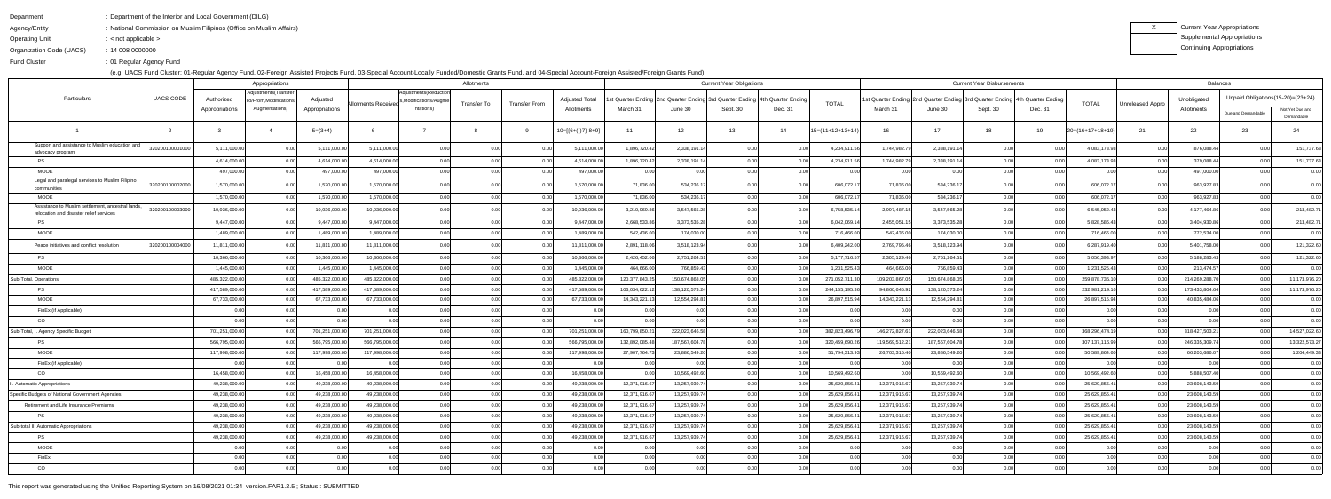Department: Department of the Interior and Local Government (DILG)

Agency/Entity: National Commission on Muslim Filipinos (Office on Muslim Affairs)

Operating Unit: < not applicable >

| Current Year Appropriations |
|-----------------------------|
| Supplemental Appropriations |
| Continuing Appropriations   |

Organization Code (UACS)14 008 0000000:

Fund Cluster01 Regular Agency Fund:

(e.g. UACS Fund Cluster: 01-Regular Agency Fund, 02-Foreign Assisted Projects Fund, 03-Special Account-Locally Funded/Domestic Grants Fund, and 04-Special Account-Foreign Assisted/Foreign Grants Fund)

|                                                                                              |                  | Appropriations |                                              |                | Allotments          |                                               |                |                      |                       |                                                                            | <b>Current Year Obligations</b> |          |         |                    |                                                                            | <b>Current Year Disbursements</b> |          |         |                    |                  |                            | <b>Balances</b>                   |                               |
|----------------------------------------------------------------------------------------------|------------------|----------------|----------------------------------------------|----------------|---------------------|-----------------------------------------------|----------------|----------------------|-----------------------|----------------------------------------------------------------------------|---------------------------------|----------|---------|--------------------|----------------------------------------------------------------------------|-----------------------------------|----------|---------|--------------------|------------------|----------------------------|-----------------------------------|-------------------------------|
| Particulars                                                                                  | <b>UACS CODE</b> | Authorized     | Adjustments(Transfer<br>o/From,Modifications | Adjusted       |                     | Adjustments (Reduction<br>Modifications/Augme |                |                      | <b>Adjusted Total</b> | st Quarter Ending 2nd Quarter Ending 3rd Quarter Ending 4th Quarter Ending |                                 |          |         |                    | st Quarter Ending 2nd Quarter Ending 3rd Quarter Ending 4th Quarter Ending |                                   |          |         |                    |                  | Unobligated                | Unpaid Obligations(15-20)=(23+24) |                               |
|                                                                                              |                  | Appropriations | Augmentations)                               | Appropriations | Allotments Received | ntations)                                     | Transfer To    | <b>Transfer From</b> | Allotments            | March 31                                                                   | June 30                         | Sept. 30 | Dec. 31 | <b>TOTAL</b>       | March 31                                                                   | June 30                           | Sept. 30 | Dec. 31 | <b>TOTAL</b>       | Unreleased Appro | Allotments                 | Due and Demandable                | Not Yet Due and<br>Demandable |
|                                                                                              |                  |                |                                              | $5=(3+4)$      |                     |                                               |                |                      | $10=[(6+(-)7)-8+9]$   | 11                                                                         | 12                              | 13       | 14      | $15=(11+12+13+14)$ | 16                                                                         | 17                                | 18       | 19      | $20=(16+17+18+19)$ | 21               | 22                         | 23                                | 24                            |
| Support and assistance to Muslim education and<br>advocacy program                           | 320200100001000  | 5,111,000.00   |                                              | 5,111,000.00   | 5,111,000.00        | 0.00                                          |                |                      | 5,111,000.00          | 1,896,720.42                                                               | 2,338,191.14                    | 0.00     |         | 4,234,911.5        | 1,744,982.7                                                                | 2,338,191.14                      |          |         | 4,083,173.93       | 0.00             | 876,088.44                 | 0.00                              | 151,737.63                    |
| PS.                                                                                          |                  | 4,614,000.00   |                                              | 4,614,000.00   | 4,614,000.00        | 0.00                                          |                |                      | 4,614,000.00          | 1,896,720.42                                                               | 2,338,191.14                    | 0.00     |         | 4,234,911.5        | 1,744,982.7                                                                | 2,338,191.14                      | 0.00     |         | 4,083,173.93       | 0.00             | 379,088.44                 | 0.00                              | 151,737.63                    |
| MOOE                                                                                         |                  | 497,000.00     |                                              | 497,000.00     | 497,000.00          | 0.00                                          | 0 <sup>0</sup> |                      | 497,000.00            | 0.00                                                                       | 0.00                            | 0.00     |         | 0.00               |                                                                            | 0.00                              | 0.00     |         | 0.00               | 0.00             | 497,000.00                 | 0.00                              | 0.00                          |
| Legal and paralegal services to Muslim Filipino<br>communities                               | 32020010000200   | 1,570,000.00   |                                              | 1,570,000.00   | 1,570,000.00        | 0.00                                          | 0.00           | 0.OC                 | 1,570,000.00          | 71,836.00                                                                  | 534,236.17                      | 0.00     |         | 606,072.17         | 71,836.00                                                                  | 534,236.17                        | 0.00     |         | 606,072.1          | 0.00             | 963,927.83                 | ი იი                              | 0.00                          |
| MOOE                                                                                         |                  | 1,570,000.00   |                                              | 1,570,000.00   | 1,570,000.00        | 0.00                                          | 0.00           | 0.0                  | 1,570,000.00          | 71,836.00                                                                  | 534,236.17                      | 0.00     |         | 606,072.1          | 71,836.00                                                                  | 534,236.17                        | 0.00     |         | 606,072.17         | 0.00             | 963,927.83                 | 0.00                              | 0.00                          |
| Assistance to Muslim settlement, ancestral lands,<br>relocation and disaster relief services | 320200100003000  | 10,936,000.00  |                                              | 10,936,000.00  | 10,936,000.00       | 0.00                                          | 0.00           |                      | 10,936,000.00         | 3,210,969.86                                                               | 3,547,565.28                    | 0.00     |         | 6,758,535.14       | 2,997,487.1                                                                | 3,547,565.28                      | 0.00     |         | 6,545,052.43       | 0.00             | 4,177,464.86               | 0.00                              | 213,482.71                    |
| <b>PS</b>                                                                                    |                  | 9,447,000.00   |                                              | 9,447,000.00   | 9,447,000.00        | 0.00                                          | 0 <sub>0</sub> |                      | 9,447,000.00          | 2,668,533.86                                                               | 3,373,535.28                    | 0.00     |         | 6,042,069.1        | 2,455,051.1                                                                | 3,373,535.28                      | 0.00     |         | 5,828,586.43       | 0.00             | 3,404,930.86               | 0.00                              | 213,482.71                    |
| <b>MOOE</b>                                                                                  |                  | 1,489,000.00   |                                              | 1,489,000.00   | 1,489,000.00        | 0.00                                          | 0.00           |                      | 1,489,000.00          | 542,436.00                                                                 | 174,030.00                      | 0.00     |         | 716,466.00         | 542,436.00                                                                 | 174,030.00                        | 0.001    |         | 716,466.00         | 0.00             | 772,534.00                 | 0.00                              | 0.00                          |
| Peace initiatives and conflict resolution                                                    | 32020010000400   | 11,811,000.00  |                                              | 11,811,000.00  | 11,811,000.00       | 0.00                                          | 0 O            |                      | 11,811,000.00         | 2,891,118.06                                                               | 3,518,123.94                    | 0.00     |         | 6,409,242.0        | 2,769,795.46                                                               | 3,518,123.94                      | 0.00     |         | 6,287,919.40       | -0.00            | 5,401,758.00               | 0.00 <sub>l</sub>                 | 121,322.60                    |
| PS                                                                                           |                  | 10,366,000.00  |                                              | 10,366,000.0   | 10,366,000.00       | 0.00                                          | 0.00           | 0.00                 | 10,366,000.00         | 2,426,452.06                                                               | 2,751,264.51                    | 0.00     |         | 5,177,716.57       | 2,305,129.4                                                                | 2,751,264.51                      | 0.00     |         | 5,056,393.97       | 0.00             | 5,188,283.43               | 0.00                              | 121,322.60                    |
| <b>MOOE</b>                                                                                  |                  | 1,445,000.00   |                                              | 1,445,000.00   | 1,445,000.00        | 0.00                                          | 0.00           | 0.OC                 | 1,445,000.00          | 464,666.00                                                                 | 766,859.43                      | 0.00     |         | 1,231,525.43       | 464,666.00                                                                 | 766,859.43                        | 0.00     |         | 1,231,525.43       | 0.00             | 213,474.57                 | 0.00 <sub>l</sub>                 | 0.00                          |
| Sub-Total, Operations                                                                        |                  | 485,322,000.00 |                                              | 485,322,000.0  | 485,322,000.00      | 0.00                                          | 0.00           |                      | 485,322,000.00        | 120,377,843.25                                                             | 150,674,868.05                  | 0.00     |         | 271,052,711.3      | 109,203,867.0                                                              | 150,674,868.05                    | 0.00     |         | 259,878,735.10     | 0.00             | 214,269,288.7              | 0.001                             | 11,173,976.20                 |
| <b>PS</b>                                                                                    |                  | 417,589,000.00 |                                              | 417,589,000.00 | 417,589,000.00      | 0.00                                          | 0.00           | n nr                 | 417,589,000.00        | 106,034,622.12                                                             | 138,120,573.24                  | 0.00     |         | 244, 155, 195.3    | 94,860,645.92                                                              | 138, 120, 573. 24                 | 0.00     |         | 232,981,219.16     | 0.00             | 173,433,804.64             | 0.00 <sub>l</sub>                 | 11,173,976.20                 |
| <b>MOOE</b>                                                                                  |                  | 67,733,000.00  |                                              | 67,733,000.00  | 67,733,000.00       | 0.00                                          | 0.00           | n nr                 | 67,733,000.00         | 14,343,221.13                                                              | 12,554,294.81                   | 0.00     |         | 26,897,515.9       | 14,343,221.1                                                               | 12,554,294.81                     | 0.00     |         | 26,897,515.94      | 0.00             | 40,835,484.06              | 0.001                             | 0.00                          |
| FinEx (if Applicable)                                                                        |                  | 0.00           |                                              | 0.00           |                     | 0.00                                          | 0.00           |                      | 0.00                  | 0.00                                                                       | 0.00                            | 0.00     |         | n or               |                                                                            |                                   | 0.001    |         | 0.00l              | 0.00             | 0.00                       | 0.00                              | 0.00                          |
| CO.                                                                                          |                  | 0.00           |                                              | 0.00           |                     | 0.00                                          | 0.00           | n nr                 | 0.00 <sub>l</sub>     | 0.00                                                                       | 0.00                            | 0.00     |         | 0.00               | n nn                                                                       |                                   | 0.00     | n nr    | 0.00               | 0.00             | n nr                       | 0.00                              | 0.00                          |
| Sub-Total, I. Agency Specific Budget                                                         |                  | 701,251,000.00 |                                              | 701,251,000.00 | 701,251,000.00      | 0.00                                          | 0.00           | n nr                 | 701,251,000.00        | 160,799,850.21                                                             | 222,023,646.58                  | 0.00     |         | 382,823,496.7      | 146,272,827.6                                                              | 222,023,646.58                    | 0.001    |         | 368,296,474.1      | 0.00             | 318,427,503.2              | 0.00 <sub>l</sub>                 | 14,527,022.60                 |
| <b>PS</b>                                                                                    |                  | 566,795,000.00 |                                              | 566,795,000.00 | 566,795,000.00      | 0.00                                          | 0.00           | 0.00                 | 566,795,000.00        | 132,892,085.48                                                             | 187,567,604.78                  | 0.00     |         | 320,459,690.2      | 119,569,512.2                                                              | 187,567,604.78                    | 0.00     |         | 307, 137, 116.99   | 0.00             | 246,335,309.74             | 0.00 <sub>l</sub>                 | 13,322,573.27                 |
| <b>MOOE</b>                                                                                  |                  | 117,998,000.00 |                                              | 117,998,000.00 | 117,998,000.00      | 0.00                                          | 0.00           |                      | 117,998,000.00        | 27,907,764.73                                                              | 23,886,549.20                   | 0.00     |         | 51,794,313.93      | 26,703,315.40                                                              | 23,886,549.20                     | 0.00     |         | 50,589,864.60      | 0.00             | 66,203,686.0               | 0.00 <sub>l</sub>                 | 1,204,449.33                  |
| FinEx (if Applicable)                                                                        |                  | 0.00           |                                              |                |                     | 0.00                                          | 0.00           |                      | 0.00 <sub>l</sub>     | 0.00                                                                       |                                 | 0.00     |         | . റ റ              |                                                                            |                                   | 0.00     |         | 0.00l              | 0.00             | 0 <sup>0<sup>c</sup></sup> | 0.001                             | 0.00                          |
| CO                                                                                           |                  | 16,458,000.00  |                                              | 16,458,000.00  | 16,458,000.00       | 0.00                                          | 0.00           |                      | 16,458,000.00         | 0.00                                                                       | 10,569,492.60                   | 0.00     |         | 10,569,492.60      |                                                                            | 10,569,492.60                     | 0.00     |         | 10,569,492.60      | 0.00             | 5,888,507.40               | 0.00                              | 0.00                          |
| <b>Automatic Appropriations</b>                                                              |                  | 49,238,000.00  |                                              | 49,238,000.0   | 49,238,000.00       | 0.00                                          | 0.00           |                      | 49,238,000.00         | 12,371,916.67                                                              | 13,257,939.74                   | 0.00     |         | 25,629,856.4       | 12,371,916.6                                                               | 13,257,939.74                     | 0.00     |         | 25,629,856.4       | 0.00             | 23,608,143.59              | 0. QQ                             | 0.00                          |
| Specific Budgets of National Government Agencies                                             |                  | 49,238,000.00  | 0.00                                         | 49,238,000.00  | 49,238,000.00       | 0.00                                          | 0.00           | 0.00                 | 49,238,000.00         | 12,371,916.67                                                              | 13,257,939.74                   | 0.00     | 0.00    | 25,629,856.41      | 12,371,916.67                                                              | 13,257,939.74                     | 0.00     | 0.00    | 25,629,856.41      | 0.00             | 23,608,143.59              | 0.00                              | 0.00                          |
| Retirement and Life Insurance Premiums                                                       |                  | 49,238,000.00  |                                              | 49,238,000.00  | 49,238,000.00       | 0.00                                          | 0.00           | 0.00                 | 49,238,000.00         | 12,371,916.67                                                              | 13,257,939.74                   | 0.00     | 0.00    | 25,629,856.41      | 12,371,916.67                                                              | 13,257,939.74                     | 0.00     | 0.00    | 25,629,856.41      | 0.00             | 23,608,143.59              | 0.00                              | 0.00                          |
| <b>PS</b>                                                                                    |                  | 49,238,000.00  |                                              | 49,238,000.00  | 49,238,000.00       | 0.00                                          | 0.00           | 0.00                 | 49,238,000.00         | 12,371,916.67                                                              | 13,257,939.74                   | 0.00     |         | 25,629,856.41      | 12,371,916.67                                                              | 13,257,939.74                     | 0.00     |         | 25,629,856.41      | 0.00             | 23,608,143.59              | 0.00                              | 0.00                          |
| Sub-total II. Automatic Appropriations                                                       |                  | 49,238,000.00  |                                              | 49,238,000.00  | 49,238,000.00       | 0.00                                          | 0.00           | 0.00                 | 49,238,000.00         | 12,371,916.67                                                              | 13,257,939.74                   | 0.00     |         | 25,629,856.41      | 12,371,916.67                                                              | 13,257,939.74                     | 0.00     | 0.00    | 25,629,856.41      | 0.00             | 23,608,143.59              | 0.00                              | 0.00                          |
| <b>PS</b>                                                                                    |                  | 49,238,000.00  |                                              | 49,238,000.00  | 49,238,000.00       | 0.00                                          | 0.00           | 0.00                 | 49,238,000.00         | 12,371,916.67                                                              | 13,257,939.74                   | 0.00     |         | 25,629,856.41      | 12,371,916.67                                                              | 13,257,939.74                     | 0.00     |         | 25,629,856.41      | 0.00             | 23,608,143.59              | 0.00                              | 0.00                          |
| <b>MOOE</b>                                                                                  |                  | 0.00           | በ በበ                                         | 0.00           | 0.00                | 0.00                                          | 0.00           | 0.00                 | 0.00                  | 0.00                                                                       | 0.00                            | 0.00     |         | 0.00               | 0.00                                                                       | റ റവ                              | 0.00     | 0.00    | 0.00               | 0.00             | 0.00                       | 0.00                              | 0.00                          |
| FinEx                                                                                        |                  | 0.00           |                                              | 0.00           | 0.00                | 0.00                                          | 0.00           | 0.00                 | 0.00                  | 0.00                                                                       | 0.00                            | 0.00     |         | 0.00               | 0.00                                                                       | 0.00                              | 0.00     |         | 0.00               | 0.00             | 0.00                       | 0.00                              | 0.00                          |
| CO                                                                                           |                  | 0.00           |                                              | 0.00           |                     | 0.00                                          | 0.00           |                      | 0.00                  | 0.00                                                                       | 0.00                            | 0.00     |         | 0.00               |                                                                            | n nn                              | 0.00     |         | 0.00               | 0.00             | 0.00                       | 0.00                              | 0.00                          |